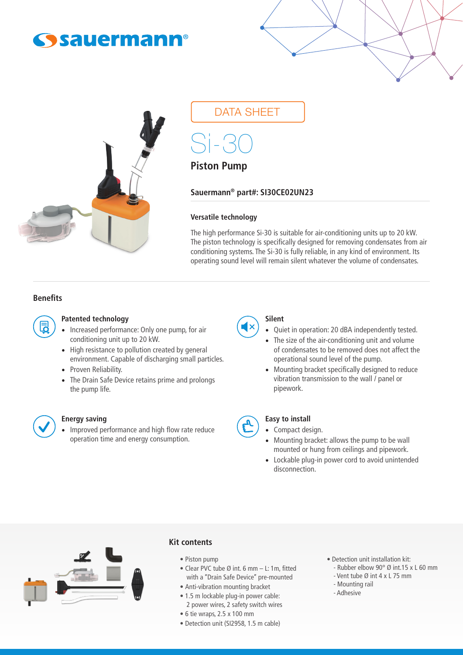# **Sauermann®**



## DATA SHEET

Si-30

## **Piston Pump**

**Sauermann® part#: SI30CE02UN23**

#### **Versatile technology**

The high performance Si-30 is suitable for air-conditioning units up to 20 kW. The piston technology is specifically designed for removing condensates from air conditioning systems. The Si-30 is fully reliable, in any kind of environment. Its operating sound level will remain silent whatever the volume of condensates.

#### **Benefits**



#### **Patented technology**

- Increased performance: Only one pump, for air conditioning unit up to 20 kW.
- High resistance to pollution created by general environment. Capable of discharging small particles.
- Proven Reliability.
- The Drain Safe Device retains prime and prolongs the pump life.



### **Energy saving**

• Improved performance and high flow rate reduce operation time and energy consumption.



#### **Silent**

- Quiet in operation: 20 dBA independently tested.
- The size of the air-conditioning unit and volume of condensates to be removed does not affect the operational sound level of the pump.
- Mounting bracket specifically designed to reduce vibration transmission to the wall / panel or pipework.

#### **Easy to install**

- Compact design.
- Mounting bracket: allows the pump to be wall mounted or hung from ceilings and pipework.
- Lockable plug-in power cord to avoid unintended disconnection.



#### **Kit contents**

- Piston pump
- Clear PVC tube Ø int. 6 mm L: 1m, fitted with a ''Drain Safe Device'' pre-mounted
- Anti-vibration mounting bracket
- 1.5 m lockable plug-in power cable:
- Detection unit installation kit: - Rubber elbow  $90^\circ$  Ø int.15 x L 60 mm
- Vent tube Ø int 4 x L 75 mm
- Mounting rail
- Adhesive

- 6 tie wraps, 2.5 x 100 mm
- Detection unit (SI2958, 1.5 m cable)

2 power wires, 2 safety switch wires